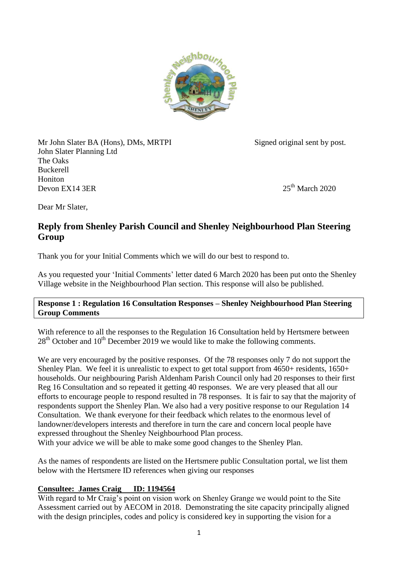

Mr John Slater BA (Hons), DMs, MRTPI Signed original sent by post. John Slater Planning Ltd The Oaks Buckerell Honiton Devon EX14 3ER  $2020$ 

Dear Mr Slater,

# **Reply from Shenley Parish Council and Shenley Neighbourhood Plan Steering Group**

Thank you for your Initial Comments which we will do our best to respond to.

As you requested your 'Initial Comments' letter dated 6 March 2020 has been put onto the Shenley Village website in the Neighbourhood Plan section. This response will also be published.

## **Response 1 : Regulation 16 Consultation Responses – Shenley Neighbourhood Plan Steering Group Comments**

With reference to all the responses to the Regulation 16 Consultation held by Hertsmere between  $28<sup>th</sup>$  October and  $10<sup>th</sup>$  December 2019 we would like to make the following comments.

We are very encouraged by the positive responses. Of the 78 responses only 7 do not support the Shenley Plan. We feel it is unrealistic to expect to get total support from 4650+ residents, 1650+ households. Our neighbouring Parish Aldenham Parish Council only had 20 responses to their first Reg 16 Consultation and so repeated it getting 40 responses. We are very pleased that all our efforts to encourage people to respond resulted in 78 responses. It is fair to say that the majority of respondents support the Shenley Plan. We also had a very positive response to our Regulation 14 Consultation. We thank everyone for their feedback which relates to the enormous level of landowner/developers interests and therefore in turn the care and concern local people have expressed throughout the Shenley Neighbourhood Plan process.

With your advice we will be able to make some good changes to the Shenley Plan.

As the names of respondents are listed on the Hertsmere public Consultation portal, we list them below with the Hertsmere ID references when giving our responses

# **Consultee: James Craig ID: 1194564**

With regard to Mr Craig's point on vision work on Shenley Grange we would point to the Site Assessment carried out by AECOM in 2018. Demonstrating the site capacity principally aligned with the design principles, codes and policy is considered key in supporting the vision for a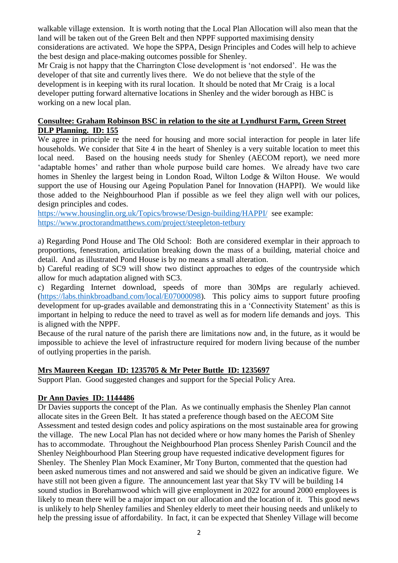walkable village extension. It is worth noting that the Local Plan Allocation will also mean that the land will be taken out of the Green Belt and then NPPF supported maximising density considerations are activated. We hope the SPPA, Design Principles and Codes will help to achieve the best design and place-making outcomes possible for Shenley.

Mr Craig is not happy that the Charrington Close development is 'not endorsed'. He was the developer of that site and currently lives there. We do not believe that the style of the development is in keeping with its rural location. It should be noted that Mr Craig is a local developer putting forward alternative locations in Shenley and the wider borough as HBC is working on a new local plan.

#### **Consultee: Graham Robinson BSC in relation to the site at Lyndhurst Farm, Green Street DLP Planning. ID: 155**

We agree in principle re the need for housing and more social interaction for people in later life households. We consider that Site 4 in the heart of Shenley is a very suitable location to meet this local need. Based on the housing needs study for Shenley (AECOM report), we need more 'adaptable homes' and rather than whole purpose build care homes. We already have two care homes in Shenley the largest being in London Road, Wilton Lodge & Wilton House. We would support the use of Housing our Ageing Population Panel for Innovation (HAPPI). We would like those added to the Neighbourhood Plan if possible as we feel they align well with our polices, design principles and codes.

<https://www.housinglin.org.uk/Topics/browse/Design-building/HAPPI/>see example: <https://www.proctorandmatthews.com/project/steepleton-tetbury>

a) Regarding Pond House and The Old School: Both are considered exemplar in their approach to proportions, fenestration, articulation breaking down the mass of a building, material choice and detail. And as illustrated Pond House is by no means a small alteration.

b) Careful reading of SC9 will show two distinct approaches to edges of the countryside which allow for much adaptation aligned with SC3.

c) Regarding Internet download, speeds of more than 30Mps are regularly achieved. [\(https://labs.thinkbroadband.com/local/E07000098\)](https://labs.thinkbroadband.com/local/E07000098). This policy aims to support future proofing development for up-grades available and demonstrating this in a 'Connectivity Statement' as this is important in helping to reduce the need to travel as well as for modern life demands and joys. This is aligned with the NPPF.

Because of the rural nature of the parish there are limitations now and, in the future, as it would be impossible to achieve the level of infrastructure required for modern living because of the number of outlying properties in the parish.

## **Mrs Maureen Keegan ID: 1235705 & Mr Peter Buttle ID: 1235697**

Support Plan. Good suggested changes and support for the Special Policy Area.

#### **Dr Ann Davies ID: 1144486**

Dr Davies supports the concept of the Plan. As we continually emphasis the Shenley Plan cannot allocate sites in the Green Belt. It has stated a preference though based on the AECOM Site Assessment and tested design codes and policy aspirations on the most sustainable area for growing the village. The new Local Plan has not decided where or how many homes the Parish of Shenley has to accommodate. Throughout the Neighbourhood Plan process Shenley Parish Council and the Shenley Neighbourhood Plan Steering group have requested indicative development figures for Shenley. The Shenley Plan Mock Examiner, Mr Tony Burton, commented that the question had been asked numerous times and not answered and said we should be given an indicative figure. We have still not been given a figure. The announcement last year that Sky TV will be building 14 sound studios in Borehamwood which will give employment in 2022 for around 2000 employees is likely to mean there will be a major impact on our allocation and the location of it. This good news is unlikely to help Shenley families and Shenley elderly to meet their housing needs and unlikely to help the pressing issue of affordability. In fact, it can be expected that Shenley Village will become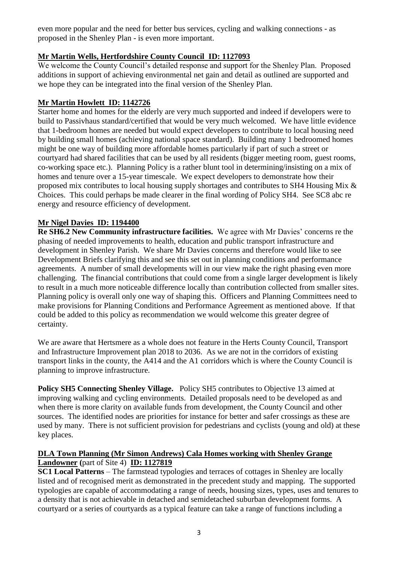even more popular and the need for better bus services, cycling and walking connections - as proposed in the Shenley Plan - is even more important.

# **Mr Martin Wells, Hertfordshire County Council ID: 1127093**

We welcome the County Council's detailed response and support for the Shenley Plan. Proposed additions in support of achieving environmental net gain and detail as outlined are supported and we hope they can be integrated into the final version of the Shenley Plan.

# **Mr Martin Howlett ID: 1142726**

Starter home and homes for the elderly are very much supported and indeed if developers were to build to Passivhaus standard/certified that would be very much welcomed. We have little evidence that 1-bedroom homes are needed but would expect developers to contribute to local housing need by building small homes (achieving national space standard). Building many 1 bedroomed homes might be one way of building more affordable homes particularly if part of such a street or courtyard had shared facilities that can be used by all residents (bigger meeting room, guest rooms, co-working space etc.). Planning Policy is a rather blunt tool in determining/insisting on a mix of homes and tenure over a 15-year timescale. We expect developers to demonstrate how their proposed mix contributes to local housing supply shortages and contributes to SH4 Housing Mix & Choices. This could perhaps be made clearer in the final wording of Policy SH4. See SC8 abc re energy and resource efficiency of development.

# **Mr Nigel Davies ID: 1194400**

**Re SH6.2 New Community infrastructure facilities.** We agree with Mr Davies' concerns re the phasing of needed improvements to health, education and public transport infrastructure and development in Shenley Parish. We share Mr Davies concerns and therefore would like to see Development Briefs clarifying this and see this set out in planning conditions and performance agreements. A number of small developments will in our view make the right phasing even more challenging. The financial contributions that could come from a single larger development is likely to result in a much more noticeable difference locally than contribution collected from smaller sites. Planning policy is overall only one way of shaping this. Officers and Planning Committees need to make provisions for Planning Conditions and Performance Agreement as mentioned above. If that could be added to this policy as recommendation we would welcome this greater degree of certainty.

We are aware that Hertsmere as a whole does not feature in the Herts County Council, Transport and Infrastructure Improvement plan 2018 to 2036. As we are not in the corridors of existing transport links in the county, the A414 and the A1 corridors which is where the County Council is planning to improve infrastructure.

**Policy SH5 Connecting Shenley Village.** Policy SH5 contributes to Objective 13 aimed at improving walking and cycling environments. Detailed proposals need to be developed as and when there is more clarity on available funds from development, the County Council and other sources. The identified nodes are priorities for instance for better and safer crossings as these are used by many. There is not sufficient provision for pedestrians and cyclists (young and old) at these key places.

## **DLA Town Planning (Mr Simon Andrews) Cala Homes working with Shenley Grange Landowner (**part of Site 4) **ID: 1127819**

**SC1 Local Patterns** – The farmstead typologies and terraces of cottages in Shenley are locally listed and of recognised merit as demonstrated in the precedent study and mapping. The supported typologies are capable of accommodating a range of needs, housing sizes, types, uses and tenures to a density that is not achievable in detached and semidetached suburban development forms. A courtyard or a series of courtyards as a typical feature can take a range of functions including a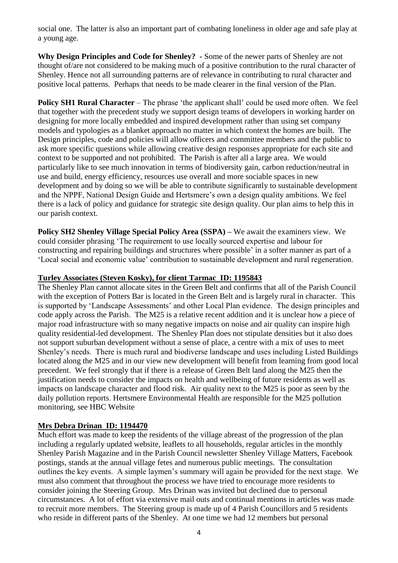social one. The latter is also an important part of combating loneliness in older age and safe play at a young age.

**Why Design Principles and Code for Shenley? -** Some of the newer parts of Shenley are not thought of/are not considered to be making much of a positive contribution to the rural character of Shenley. Hence not all surrounding patterns are of relevance in contributing to rural character and positive local patterns. Perhaps that needs to be made clearer in the final version of the Plan.

**Policy SH1 Rural Character** – The phrase 'the applicant shall' could be used more often. We feel that together with the precedent study we support design teams of developers in working harder on designing for more locally embedded and inspired development rather than using set company models and typologies as a blanket approach no matter in which context the homes are built. The Design principles, code and policies will allow officers and committee members and the public to ask more specific questions while allowing creative design responses appropriate for each site and context to be supported and not prohibited. The Parish is after all a large area. We would particularly like to see much innovation in terms of biodiversity gain, carbon reduction/neutral in use and build, energy efficiency, resources use overall and more sociable spaces in new development and by doing so we will be able to contribute significantly to sustainable development and the NPPF, National Design Guide and Hertsmere's own a design quality ambitions. We feel there is a lack of policy and guidance for strategic site design quality. Our plan aims to help this in our parish context.

**Policy SH2 Shenley Village Special Policy Area (SSPA) –** We await the examiners view. We could consider phrasing 'The requirement to use locally sourced expertise and labour for constructing and repairing buildings and structures where possible' in a softer manner as part of a 'Local social and economic value' contribution to sustainable development and rural regeneration.

## **Turley Associates (Steven Kosky), for client Tarmac ID: 1195843**

The Shenley Plan cannot allocate sites in the Green Belt and confirms that all of the Parish Council with the exception of Potters Bar is located in the Green Belt and is largely rural in character. This is supported by 'Landscape Assessments' and other Local Plan evidence. The design principles and code apply across the Parish. The M25 is a relative recent addition and it is unclear how a piece of major road infrastructure with so many negative impacts on noise and air quality can inspire high quality residential-led development. The Shenley Plan does not stipulate densities but it also does not support suburban development without a sense of place, a centre with a mix of uses to meet Shenley's needs. There is much rural and biodiverse landscape and uses including Listed Buildings located along the M25 and in our view new development will benefit from learning from good local precedent. We feel strongly that if there is a release of Green Belt land along the M25 then the justification needs to consider the impacts on health and wellbeing of future residents as well as impacts on landscape character and flood risk. Air quality next to the M25 is poor as seen by the daily pollution reports. Hertsmere Environmental Health are responsible for the M25 pollution monitoring, see HBC Website

# **Mrs Debra Drinan ID: 1194470**

Much effort was made to keep the residents of the village abreast of the progression of the plan including a regularly updated website, leaflets to all households, regular articles in the monthly Shenley Parish Magazine and in the Parish Council newsletter Shenley Village Matters, Facebook postings, stands at the annual village fetes and numerous public meetings. The consultation outlines the key events. A simple laymen's summary will again be provided for the next stage. We must also comment that throughout the process we have tried to encourage more residents to consider joining the Steering Group. Mrs Drinan was invited but declined due to personal circumstances. A lot of effort via extensive mail outs and continual mentions in articles was made to recruit more members. The Steering group is made up of 4 Parish Councillors and 5 residents who reside in different parts of the Shenley. At one time we had 12 members but personal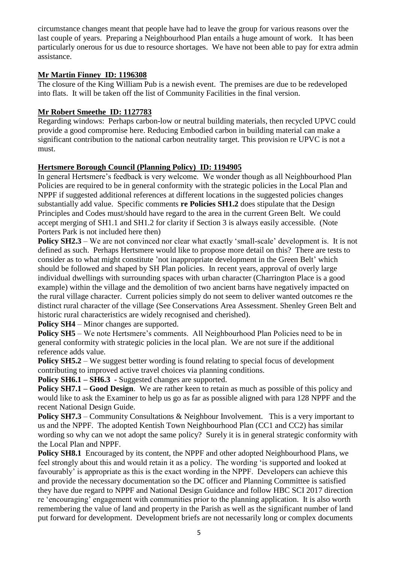circumstance changes meant that people have had to leave the group for various reasons over the last couple of years. Preparing a Neighbourhood Plan entails a huge amount of work. It has been particularly onerous for us due to resource shortages. We have not been able to pay for extra admin assistance.

## **Mr Martin Finney ID: 1196308**

The closure of the King William Pub is a newish event. The premises are due to be redeveloped into flats. It will be taken off the list of Community Facilities in the final version.

## **Mr Robert Smeethe ID: 1127783**

Regarding windows: Perhaps carbon-low or neutral building materials, then recycled UPVC could provide a good compromise here. Reducing Embodied carbon in building material can make a significant contribution to the national carbon neutrality target. This provision re UPVC is not a must.

# **Hertsmere Borough Council (Planning Policy) ID: 1194905**

In general Hertsmere's feedback is very welcome. We wonder though as all Neighbourhood Plan Policies are required to be in general conformity with the strategic policies in the Local Plan and NPPF if suggested additional references at different locations in the suggested policies changes substantially add value. Specific comments **re Policies SH1.2** does stipulate that the Design Principles and Codes must/should have regard to the area in the current Green Belt. We could accept merging of SH1.1 and SH1.2 for clarity if Section 3 is always easily accessible. (Note Porters Park is not included here then)

**Policy SH2.3** – We are not convinced nor clear what exactly 'small-scale' development is. It is not defined as such. Perhaps Hertsmere would like to propose more detail on this? There are tests to consider as to what might constitute 'not inappropriate development in the Green Belt' which should be followed and shaped by SH Plan policies. In recent years, approval of overly large individual dwellings with surrounding spaces with urban character (Charrington Place is a good example) within the village and the demolition of two ancient barns have negatively impacted on the rural village character. Current policies simply do not seem to deliver wanted outcomes re the distinct rural character of the village (See Conservations Area Assessment. Shenley Green Belt and historic rural characteristics are widely recognised and cherished).

**Policy SH4** – Minor changes are supported.

**Policy SH5** – We note Hertsmere's comments. All Neighbourhood Plan Policies need to be in general conformity with strategic policies in the local plan. We are not sure if the additional reference adds value.

**Policy SH5.2** – We suggest better wording is found relating to special focus of development contributing to improved active travel choices via planning conditions.

**Policy SH6.1 – SH6.3** - Suggested changes are supported.

**Policy SH7.1 – Good Design.** We are rather keen to retain as much as possible of this policy and would like to ask the Examiner to help us go as far as possible aligned with para 128 NPPF and the recent National Design Guide.

**Policy SH7.3** – Community Consultations & Neighbour Involvement. This is a very important to us and the NPPF. The adopted Kentish Town Neighbourhood Plan (CC1 and CC2) has similar wording so why can we not adopt the same policy? Surely it is in general strategic conformity with the Local Plan and NPPF.

**Policy SH8.1** Encouraged by its content, the NPPF and other adopted Neighbourhood Plans, we feel strongly about this and would retain it as a policy. The wording 'is supported and looked at favourably' is appropriate as this is the exact wording in the NPPF. Developers can achieve this and provide the necessary documentation so the DC officer and Planning Committee is satisfied they have due regard to NPPF and National Design Guidance and follow HBC SCI 2017 direction re 'encouraging' engagement with communities prior to the planning application. It is also worth remembering the value of land and property in the Parish as well as the significant number of land put forward for development. Development briefs are not necessarily long or complex documents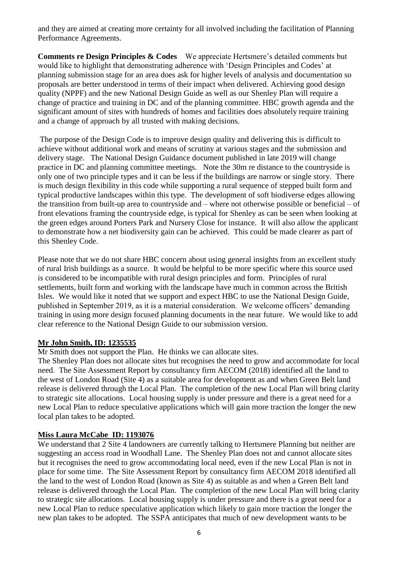and they are aimed at creating more certainty for all involved including the facilitation of Planning Performance Agreements.

**Comments re Design Principles & Codes** We appreciate Hertsmere's detailed comments but would like to highlight that demonstrating adherence with 'Design Principles and Codes' at planning submission stage for an area does ask for higher levels of analysis and documentation so proposals are better understood in terms of their impact when delivered. Achieving good design quality (NPPF) and the new National Design Guide as well as our Shenley Plan will require a change of practice and training in DC and of the planning committee. HBC growth agenda and the significant amount of sites with hundreds of homes and facilities does absolutely require training and a change of approach by all trusted with making decisions.

The purpose of the Design Code is to improve design quality and delivering this is difficult to achieve without additional work and means of scrutiny at various stages and the submission and delivery stage. The National Design Guidance document published in late 2019 will change practice in DC and planning committee meetings. Note the 30m re distance to the countryside is only one of two principle types and it can be less if the buildings are narrow or single story. There is much design flexibility in this code while supporting a rural sequence of stepped built form and typical productive landscapes within this type. The development of soft biodiverse edges allowing the transition from built-up area to countryside and – where not otherwise possible or beneficial – of front elevations framing the countryside edge, is typical for Shenley as can be seen when looking at the green edges around Porters Park and Nursery Close for instance. It will also allow the applicant to demonstrate how a net biodiversity gain can be achieved. This could be made clearer as part of this Shenley Code.

Please note that we do not share HBC concern about using general insights from an excellent study of rural Irish buildings as a source. It would be helpful to be more specific where this source used is considered to be incompatible with rural design principles and form. Principles of rural settlements, built form and working with the landscape have much in common across the British Isles. We would like it noted that we support and expect HBC to use the National Design Guide, published in September 2019, as it is a material consideration. We welcome officers' demanding training in using more design focused planning documents in the near future. We would like to add clear reference to the National Design Guide to our submission version.

#### **Mr John Smith, ID: 1235535**

Mr Smith does not support the Plan. He thinks we can allocate sites.

The Shenley Plan does not allocate sites but recognises the need to grow and accommodate for local need. The Site Assessment Report by consultancy firm AECOM (2018) identified all the land to the west of London Road (Site 4) as a suitable area for development as and when Green Belt land release is delivered through the Local Plan. The completion of the new Local Plan will bring clarity to strategic site allocations. Local housing supply is under pressure and there is a great need for a new Local Plan to reduce speculative applications which will gain more traction the longer the new local plan takes to be adopted.

## **Miss Laura McCabe ID: 1193076**

We understand that 2 Site 4 landowners are currently talking to Hertsmere Planning but neither are suggesting an access road in Woodhall Lane. The Shenley Plan does not and cannot allocate sites but it recognises the need to grow accommodating local need, even if the new Local Plan is not in place for some time. The Site Assessment Report by consultancy firm AECOM 2018 identified all the land to the west of London Road (known as Site 4) as suitable as and when a Green Belt land release is delivered through the Local Plan. The completion of the new Local Plan will bring clarity to strategic site allocations. Local housing supply is under pressure and there is a great need for a new Local Plan to reduce speculative application which likely to gain more traction the longer the new plan takes to be adopted. The SSPA anticipates that much of new development wants to be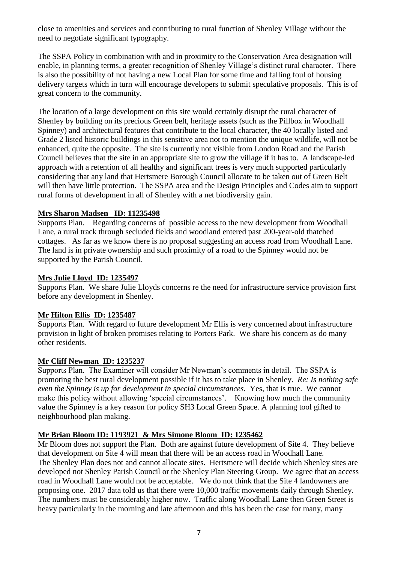close to amenities and services and contributing to rural function of Shenley Village without the need to negotiate significant typography.

The SSPA Policy in combination with and in proximity to the Conservation Area designation will enable, in planning terms, a greater recognition of Shenley Village's distinct rural character. There is also the possibility of not having a new Local Plan for some time and falling foul of housing delivery targets which in turn will encourage developers to submit speculative proposals. This is of great concern to the community.

The location of a large development on this site would certainly disrupt the rural character of Shenley by building on its precious Green belt, heritage assets (such as the Pillbox in Woodhall Spinney) and architectural features that contribute to the local character, the 40 locally listed and Grade 2 listed historic buildings in this sensitive area not to mention the unique wildlife, will not be enhanced, quite the opposite. The site is currently not visible from London Road and the Parish Council believes that the site in an appropriate site to grow the village if it has to. A landscape-led approach with a retention of all healthy and significant trees is very much supported particularly considering that any land that Hertsmere Borough Council allocate to be taken out of Green Belt will then have little protection. The SSPA area and the Design Principles and Codes aim to support rural forms of development in all of Shenley with a net biodiversity gain.

## **Mrs Sharon Madsen ID: 11235498**

Supports Plan. Regarding concerns of possible access to the new development from Woodhall Lane, a rural track through secluded fields and woodland entered past 200-year-old thatched cottages. As far as we know there is no proposal suggesting an access road from Woodhall Lane. The land is in private ownership and such proximity of a road to the Spinney would not be supported by the Parish Council.

# **Mrs Julie Lloyd ID: 1235497**

Supports Plan. We share Julie Lloyds concerns re the need for infrastructure service provision first before any development in Shenley.

# **Mr Hilton Ellis ID: 1235487**

Supports Plan. With regard to future development Mr Ellis is very concerned about infrastructure provision in light of broken promises relating to Porters Park. We share his concern as do many other residents.

## **Mr Cliff Newman ID: 1235237**

Supports Plan. The Examiner will consider Mr Newman's comments in detail. The SSPA is promoting the best rural development possible if it has to take place in Shenley. *Re: Is nothing safe even the Spinney is up for development in special circumstances.* Yes, that is true. We cannot make this policy without allowing 'special circumstances'. Knowing how much the community value the Spinney is a key reason for policy SH3 Local Green Space. A planning tool gifted to neighbourhood plan making.

# **Mr Brian Bloom ID: 1193921 & Mrs Simone Bloom ID: 1235462**

Mr Bloom does not support the Plan. Both are against future development of Site 4. They believe that development on Site 4 will mean that there will be an access road in Woodhall Lane. The Shenley Plan does not and cannot allocate sites. Hertsmere will decide which Shenley sites are developed not Shenley Parish Council or the Shenley Plan Steering Group. We agree that an access road in Woodhall Lane would not be acceptable. We do not think that the Site 4 landowners are proposing one. 2017 data told us that there were 10,000 traffic movements daily through Shenley. The numbers must be considerably higher now. Traffic along Woodhall Lane then Green Street is heavy particularly in the morning and late afternoon and this has been the case for many, many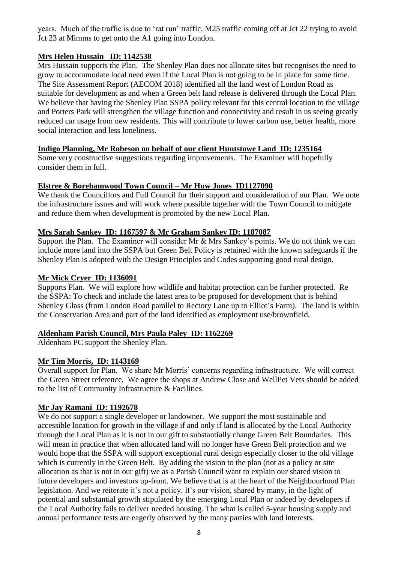years. Much of the traffic is due to 'rat run' traffic, M25 traffic coming off at Jct 22 trying to avoid Jct 23 at Mimms to get onto the A1 going into London.

# **Mrs Helen Hussain ID: 1142538**

Mrs Hussain supports the Plan. The Shenley Plan does not allocate sites but recognises the need to grow to accommodate local need even if the Local Plan is not going to be in place for some time. The Site Assessment Report (AECOM 2018) identified all the land west of London Road as suitable for development as and when a Green belt land release is delivered through the Local Plan. We believe that having the Shenley Plan SSPA policy relevant for this central location to the village and Porters Park will strengthen the village function and connectivity and result in us seeing greatly reduced car usage from new residents. This will contribute to lower carbon use, better health, more social interaction and less loneliness.

# **Indigo Planning, Mr Robeson on behalf of our client Huntstowe Land ID: 1235164**

Some very constructive suggestions regarding improvements. The Examiner will hopefully consider them in full.

## **Elstree & Borehamwood Town Council – Mr Huw Jones ID1127090**

We thank the Councillors and Full Council for their support and consideration of our Plan. We note the infrastructure issues and will work where possible together with the Town Council to mitigate and reduce them when development is promoted by the new Local Plan.

## **Mrs Sarah Sankey ID: 1167597 & Mr Graham Sankey ID: 1187087**

Support the Plan. The Examiner will consider Mr & Mrs Sankey's points. We do not think we can include more land into the SSPA but Green Belt Policy is retained with the known safeguards if the Shenley Plan is adopted with the Design Principles and Codes supporting good rural design.

# **Mr Mick Cryer ID: 1136091**

Supports Plan. We will explore how wildlife and habitat protection can be further protected. Re the SSPA: To check and include the latest area to be proposed for development that is behind Shenley Glass (from London Road parallel to Rectory Lane up to Elliot's Farm). The land is within the Conservation Area and part of the land identified as employment use/brownfield.

## **Aldenham Parish Council, Mrs Paula Paley ID: 1162269**

Aldenham PC support the Shenley Plan.

## **Mr Tim Morris, ID: 1143169**

Overall support for Plan. We share Mr Morris' concerns regarding infrastructure. We will correct the Green Street reference. We agree the shops at Andrew Close and WellPet Vets should be added to the list of Community Infrastructure & Facilities.

## **Mr Jay Ramani ID: 1192678**

We do not support a single developer or landowner. We support the most sustainable and accessible location for growth in the village if and only if land is allocated by the Local Authority through the Local Plan as it is not in our gift to substantially change Green Belt Boundaries. This will mean in practice that when allocated land will no longer have Green Belt protection and we would hope that the SSPA will support exceptional rural design especially closer to the old village which is currently in the Green Belt. By adding the vision to the plan (not as a policy or site allocation as that is not in our gift) we as a Parish Council want to explain our shared vision to future developers and investors up-front. We believe that is at the heart of the Neighbourhood Plan legislation. And we reiterate it's not a policy. It's our vision, shared by many, in the light of potential and substantial growth stipulated by the emerging Local Plan or indeed by developers if the Local Authority fails to deliver needed housing. The what is called 5-year housing supply and annual performance tests are eagerly observed by the many parties with land interests.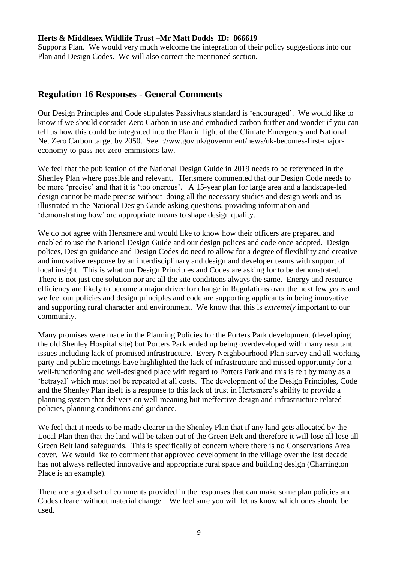#### **Herts & Middlesex Wildlife Trust –Mr Matt Dodds ID: 866619**

Supports Plan. We would very much welcome the integration of their policy suggestions into our Plan and Design Codes. We will also correct the mentioned section.

# **Regulation 16 Responses - General Comments**

Our Design Principles and Code stipulates Passivhaus standard is 'encouraged'. We would like to know if we should consider Zero Carbon in use and embodied carbon further and wonder if you can tell us how this could be integrated into the Plan in light of the Climate Emergency and National Net Zero Carbon target by 2050. See ://ww.gov.uk/government/news/uk-becomes-first-majoreconomy-to-pass-net-zero-emmisions-law.

We feel that the publication of the National Design Guide in 2019 needs to be referenced in the Shenley Plan where possible and relevant. Hertsmere commented that our Design Code needs to be more 'precise' and that it is 'too onerous'. A 15-year plan for large area and a landscape-led design cannot be made precise without doing all the necessary studies and design work and as illustrated in the National Design Guide asking questions, providing information and 'demonstrating how' are appropriate means to shape design quality.

We do not agree with Hertsmere and would like to know how their officers are prepared and enabled to use the National Design Guide and our design polices and code once adopted. Design polices, Design guidance and Design Codes do need to allow for a degree of flexibility and creative and innovative response by an interdisciplinary and design and developer teams with support of local insight. This is what our Design Principles and Codes are asking for to be demonstrated. There is not just one solution nor are all the site conditions always the same. Energy and resource efficiency are likely to become a major driver for change in Regulations over the next few years and we feel our policies and design principles and code are supporting applicants in being innovative and supporting rural character and environment. We know that this is *extremely* important to our community.

Many promises were made in the Planning Policies for the Porters Park development (developing the old Shenley Hospital site) but Porters Park ended up being overdeveloped with many resultant issues including lack of promised infrastructure. Every Neighbourhood Plan survey and all working party and public meetings have highlighted the lack of infrastructure and missed opportunity for a well-functioning and well-designed place with regard to Porters Park and this is felt by many as a 'betrayal' which must not be repeated at all costs. The development of the Design Principles, Code and the Shenley Plan itself is a response to this lack of trust in Hertsmere's ability to provide a planning system that delivers on well-meaning but ineffective design and infrastructure related policies, planning conditions and guidance.

We feel that it needs to be made clearer in the Shenley Plan that if any land gets allocated by the Local Plan then that the land will be taken out of the Green Belt and therefore it will lose all lose all Green Belt land safeguards. This is specifically of concern where there is no Conservations Area cover. We would like to comment that approved development in the village over the last decade has not always reflected innovative and appropriate rural space and building design (Charrington Place is an example).

There are a good set of comments provided in the responses that can make some plan policies and Codes clearer without material change. We feel sure you will let us know which ones should be used.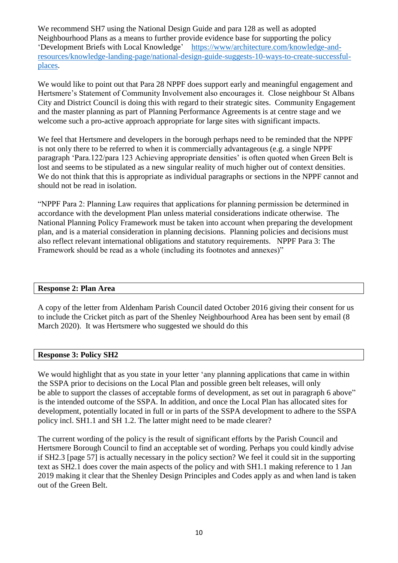We recommend SH7 using the National Design Guide and para 128 as well as adopted Neighbourhood Plans as a means to further provide evidence base for supporting the policy 'Development Briefs with Local Knowledge' [https://www/architecture.com/knowledge-and](https://www/architecture.com/knowledge-and-resources/knowledge-landing-page/national-design-guide-suggests-10-ways-to-create-successful-places)[resources/knowledge-landing-page/national-design-guide-suggests-10-ways-to-create-successful](https://www/architecture.com/knowledge-and-resources/knowledge-landing-page/national-design-guide-suggests-10-ways-to-create-successful-places)[places.](https://www/architecture.com/knowledge-and-resources/knowledge-landing-page/national-design-guide-suggests-10-ways-to-create-successful-places)

We would like to point out that Para 28 NPPF does support early and meaningful engagement and Hertsmere's Statement of Community Involvement also encourages it. Close neighbour St Albans City and District Council is doing this with regard to their strategic sites. Community Engagement and the master planning as part of Planning Performance Agreements is at centre stage and we welcome such a pro-active approach appropriate for large sites with significant impacts.

We feel that Hertsmere and developers in the borough perhaps need to be reminded that the NPPF is not only there to be referred to when it is commercially advantageous (e.g. a single NPPF paragraph 'Para.122/para 123 Achieving appropriate densities' is often quoted when Green Belt is lost and seems to be stipulated as a new singular reality of much higher out of context densities. We do not think that this is appropriate as individual paragraphs or sections in the NPPF cannot and should not be read in isolation.

"NPPF Para 2: Planning Law requires that applications for planning permission be determined in accordance with the development Plan unless material considerations indicate otherwise. The National Planning Policy Framework must be taken into account when preparing the development plan, and is a material consideration in planning decisions. Planning policies and decisions must also reflect relevant international obligations and statutory requirements. NPPF Para 3: The Framework should be read as a whole (including its footnotes and annexes)"

#### **Response 2: Plan Area**

A copy of the letter from Aldenham Parish Council dated October 2016 giving their consent for us to include the Cricket pitch as part of the Shenley Neighbourhood Area has been sent by email (8 March 2020). It was Hertsmere who suggested we should do this

#### **Response 3: Policy SH2**

We would highlight that as you state in your letter 'any planning applications that came in within the SSPA prior to decisions on the Local Plan and possible green belt releases, will only be able to support the classes of acceptable forms of development, as set out in paragraph 6 above" is the intended outcome of the SSPA. In addition, and once the Local Plan has allocated sites for development, potentially located in full or in parts of the SSPA development to adhere to the SSPA policy incl. SH1.1 and SH 1.2. The latter might need to be made clearer?

The current wording of the policy is the result of significant efforts by the Parish Council and Hertsmere Borough Council to find an acceptable set of wording. Perhaps you could kindly advise if SH2.3 [page 57] is actually necessary in the policy section? We feel it could sit in the supporting text as SH2.1 does cover the main aspects of the policy and with SH1.1 making reference to 1 Jan 2019 making it clear that the Shenley Design Principles and Codes apply as and when land is taken out of the Green Belt.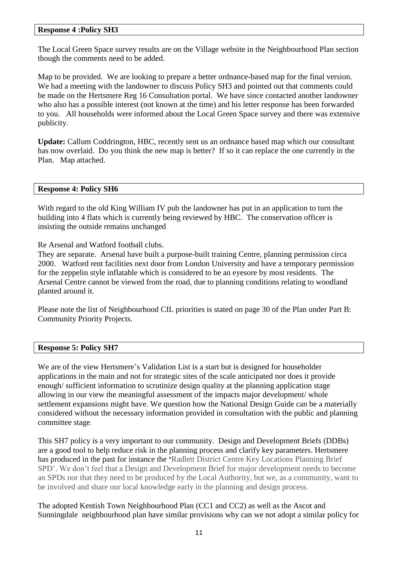#### **Response 4 :Policy SH3**

The Local Green Space survey results are on the Village website in the Neighbourhood Plan section though the comments need to be added.

Map to be provided. We are looking to prepare a better ordnance-based map for the final version. We had a meeting with the landowner to discuss Policy SH3 and pointed out that comments could be made on the Hertsmere Reg 16 Consultation portal. We have since contacted another landowner who also has a possible interest (not known at the time) and his letter response has been forwarded to you. All households were informed about the Local Green Space survey and there was extensive publicity.

**Update:** Callum Coddrington, HBC, recently sent us an ordnance based map which our consultant has now overlaid. Do you think the new map is better? If so it can replace the one currently in the Plan. Map attached.

#### **Response 4: Policy SH6**

With regard to the old King William IV pub the landowner has put in an application to turn the building into 4 flats which is currently being reviewed by HBC. The conservation officer is insisting the outside remains unchanged

Re Arsenal and Watford football clubs.

They are separate. Arsenal have built a purpose-built training Centre, planning permission circa 2000. Watford rent facilities next door from London University and have a temporary permission for the zeppelin style inflatable which is considered to be an eyesore by most residents. The Arsenal Centre cannot be viewed from the road, due to planning conditions relating to woodland planted around it.

Please note the list of Neighbourhood CIL priorities is stated on page 30 of the Plan under Part B: Community Priority Projects.

#### **Response 5: Policy SH7**

We are of the view Hertsmere's Validation List is a start but is designed for householder applications in the main and not for strategic sites of the scale anticipated nor does it provide enough/ sufficient information to scrutinize design quality at the planning application stage allowing in our view the meaningful assessment of the impacts major development/ whole settlement expansions might have. We question how the National Design Guide can be a materially considered without the necessary information provided in consultation with the public and planning committee stage.

This SH7 policy is a very important to our community. Design and Development Briefs (DDBs) are a good tool to help reduce risk in the planning process and clarify key parameters. Hertsmere has produced in the past for instance the **'**Radlett District Centre Key Locations Planning Brief SPD'. We don't feel that a Design and Development Brief for major development needs to become an SPDs nor that they need to be produced by the Local Authority, but we, as a community, want to be involved and share our local knowledge early in the planning and design process.

The adopted Kentish Town Neighbourhood Plan (CC1 and CC2) as well as the Ascot and Sunningdale neighbourhood plan have similar provisions why can we not adopt a similar policy for